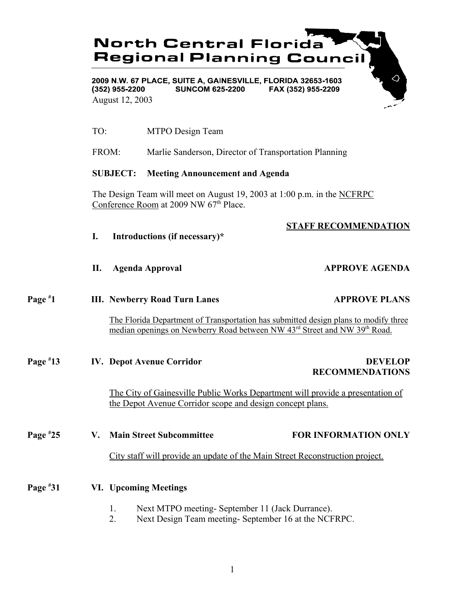# **North Central Florida Regional Planning Council**

2009 N.W. 67 PLACE, SUITE A, GAINESVILLE, FLORIDA 32653-1603  $(352)$  955-2200 **SUNCOM 625-2200** FAX (352) 955-2209 August 12, 2003

TO: MTPO Design Team

**I. Introductions (if necessary)\***

FROM: Marlie Sanderson, Director of Transportation Planning

### **SUBJECT: Meeting Announcement and Agenda**

The Design Team will meet on August 19, 2003 at 1:00 p.m. in the NCFRPC Conference Room at 2009 NW 67<sup>th</sup> Place.

### **STAFF RECOMMENDATION**

- 
- **II.** Agenda Approval **APPROVE AGENDA**
- **Page # 111. Newberry Road Turn Lanes** APPROVE PLANS

The Florida Department of Transportation has submitted design plans to modify three median openings on Newberry Road between NW 43<sup>rd</sup> Street and NW 39<sup>th</sup> Road.

**Page # 13 IV. Depot Avenue Corridor DEVELOP**

# **RECOMMENDATIONS**

The City of Gainesville Public Works Department will provide a presentation of the Depot Avenue Corridor scope and design concept plans.

#### **Page # 25 V. Main Street Subcommittee FOR INFORMATION ONLY**

City staff will provide an update of the Main Street Reconstruction project.

#### **Page # 31 VI. Upcoming Meetings**

- 1. Next MTPO meeting- September 11 (Jack Durrance).
- 2. Next Design Team meeting- September 16 at the NCFRPC.